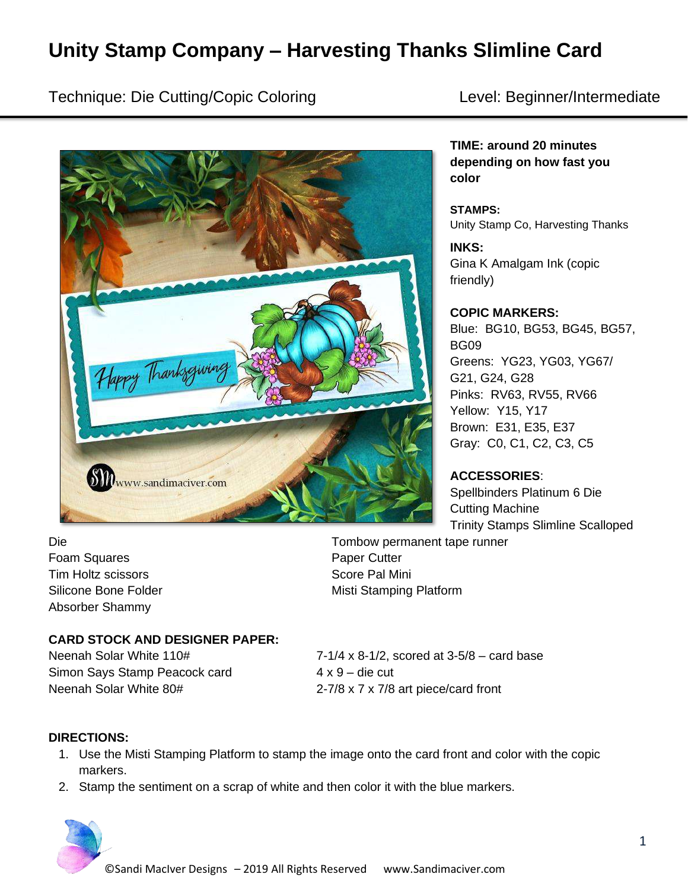# **Unity Stamp Company – Harvesting Thanks Slimline Card**

Technique: Die Cutting/Copic Coloring Level: Beginner/Intermediate



**TIME: around 20 minutes depending on how fast you color**

**STAMPS:** Unity Stamp Co, Harvesting Thanks

**INKS:** Gina K Amalgam Ink (copic friendly)

#### **COPIC MARKERS:**

Blue: BG10, BG53, BG45, BG57, BG09 Greens: YG23, YG03, YG67/ G21, G24, G28 Pinks: RV63, RV55, RV66 Yellow: Y15, Y17 Brown: E31, E35, E37 Gray: C0, C1, C2, C3, C5

**ACCESSORIES**:

Spellbinders Platinum 6 Die Cutting Machine Trinity Stamps Slimline Scalloped

Die Tombow permanent tape runner Foam Squares **Paper Cutter** Paper Cutter Tim Holtz scissors **Score Pal Mini** Score Pal Mini Absorber Shammy

Silicone Bone Folder Misti Stamping Platform

### **CARD STOCK AND DESIGNER PAPER:**

Simon Says Stamp Peacock card 4 x 9 – die cut Neenah Solar White 80# 2-7/8 x 7 x 7/8 art piece/card front

Neenah Solar White  $110#$   $7-1/4 \times 8-1/2$ , scored at  $3-5/8$  – card base

#### **DIRECTIONS:**

- 1. Use the Misti Stamping Platform to stamp the image onto the card front and color with the copic markers.
- 2. Stamp the sentiment on a scrap of white and then color it with the blue markers.

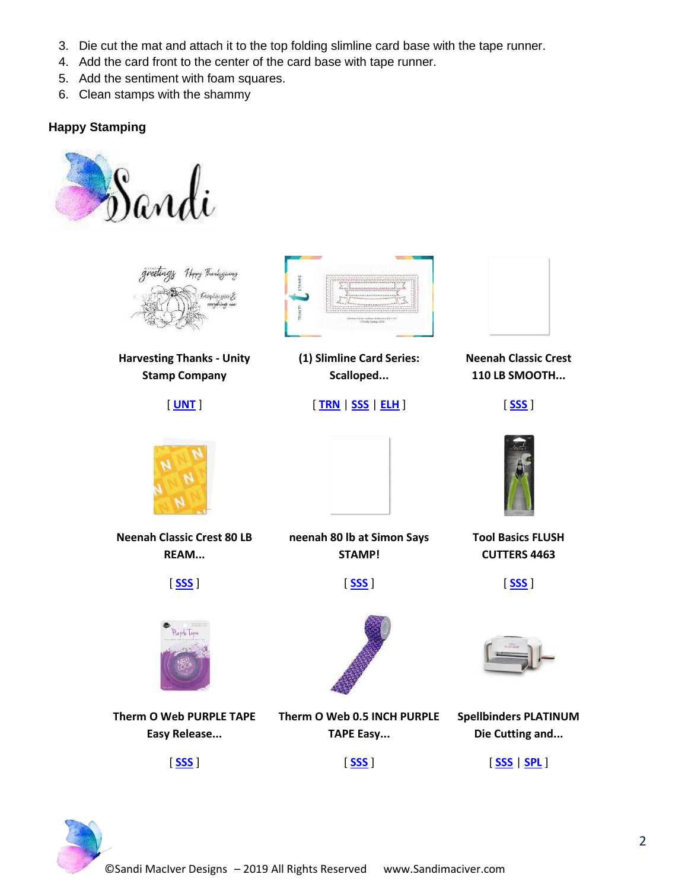- 3. Die cut the mat and attach it to the top folding slimline card base with the tape runner.
- 4. Add the card front to the center of the card base with tape runner.
- 5. Add the sentiment with foam squares.
- 6. Clean stamps with the shammy

# **Happy Stamping**





**Harvesting Thanks - Unity Stamp Company**

[ **[UNT](https://ldli.co/e/jgee0o)** ]



**(1) Slimline Card Series: Scalloped...**

## [ **[TRN](https://ldli.co/e/y7xxr1)** | **[SSS](https://ldli.co/e/pmnnq0)** | **[ELH](https://ldli.co/e/rlyyrz)** ]



**Neenah Classic Crest 110 LB SMOOTH...**



**Tool Basics FLUSH CUTTERS 4463**

[ **[SSS](https://ldli.co/e/17nn45)** ]



**Neenah Classic Crest 80 LB REAM...**





**Therm O Web PURPLE TAPE Easy Release...**

[ **[SSS](https://ldli.co/e/dz0093)** ]

[ **[SSS](https://ldli.co/e/xkeemj)** ]

[ **[SSS](https://ldli.co/e/zn1147)** ]

**neenah 80 lb at Simon Says STAMP!**



**Therm O Web 0.5 INCH PURPLE TAPE Easy...**



**Die Cutting and...**

[ **[SSS](https://ldli.co/e/93oolk)** | **[SPL](https://ldli.co/e/k0kk4p)** ]

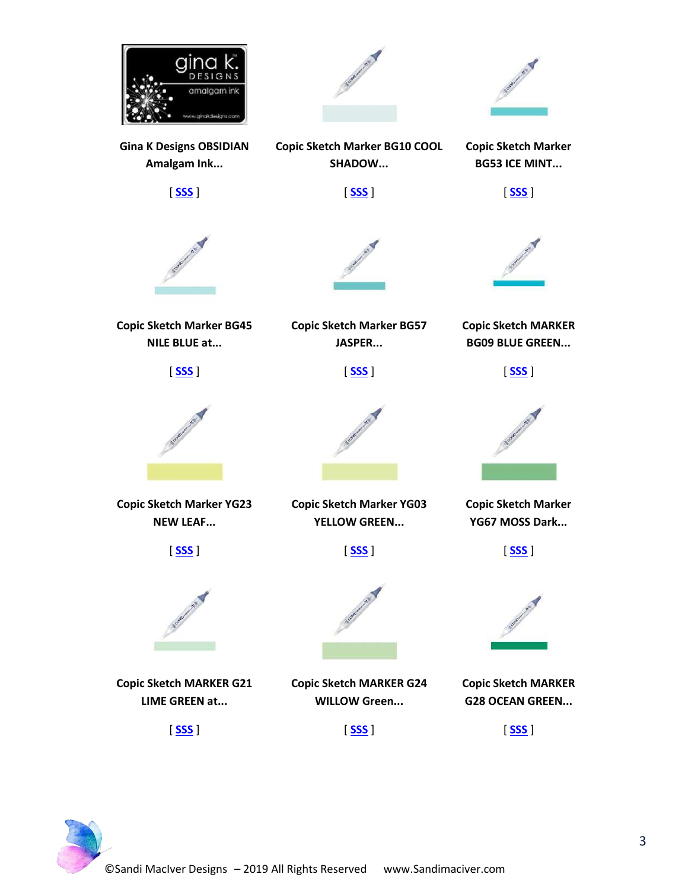

**Gina K Designs OBSIDIAN Amalgam Ink...**

[ **[SSS](https://ldli.co/e/72xxpy)** ]





**Copic Sketch Marker BG10 COOL Copic Sketch Marker BG53 ICE MINT...**

[ **[SSS](https://ldli.co/e/64rrp9)** ]



**Copic Sketch Marker BG45 NILE BLUE at...**

[ **[SSS](https://ldli.co/e/g7ggj7)** ]

**Copic Sketch Marker YG23 NEW LEAF...**

[ **[SSS](https://ldli.co/e/2o22p9)** ]

**Copic Sketch MARKER G21 LIME GREEN at...**

[ **[SSS](https://ldli.co/e/m2mm3m)** ]



**Copic Sketch Marker BG57 JASPER...**

[ **[SSS](https://ldli.co/e/0kppnl)** ]

**Copic Sketch Marker YG03 YELLOW GREEN...**

[ **[SSS](https://ldli.co/e/50rrmk)** ]

**Copic Sketch MARKER G24 WILLOW Green...**

[ **[SSS](https://ldli.co/e/e9kke2)** ]

**SHADOW...**

[ **[SSS](https://ldli.co/e/n5mm0p)** ]



**Copic Sketch MARKER BG09 BLUE GREEN...**

[ **[SSS](https://ldli.co/e/4gkkp5)** ]



**Copic Sketch Marker YG67 MOSS Dark...**

[ **[SSS](https://ldli.co/e/36pprg)** ]



**Copic Sketch MARKER G28 OCEAN GREEN...**

[ **[SSS](https://ldli.co/e/qe664r)** ]

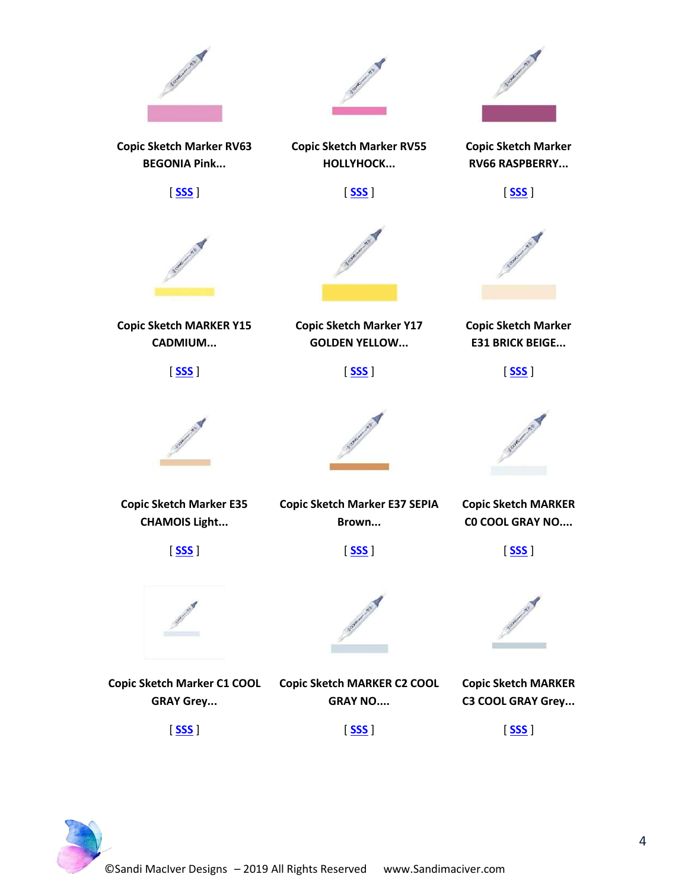